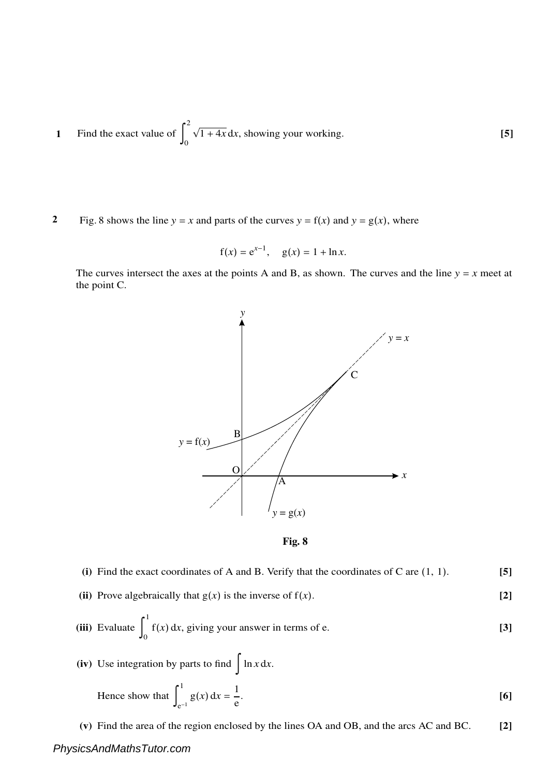- **1** Find the exact value of  $\vert$ 2 0  $\sqrt{1+4x} dx$ , showing your working. **[5]**
- **2** Fig. 8 shows the line  $y = x$  and parts of the curves  $y = f(x)$  and  $y = g(x)$ , where

$$
f(x) = e^{x-1}
$$
,  $g(x) = 1 + \ln x$ .

The curves intersect the axes at the points A and B, as shown. The curves and the line  $y = x$  meet at the point C.





- **(i)** Find the exact coordinates of A and B. Verify that the coordinates of C are (1, 1). **[5]**
- **(ii)** Prove algebraically that  $g(x)$  is the inverse of  $f(x)$ . [2]

(iii) Evaluate 
$$
\int_0^1 f(x) dx
$$
, giving your answer in terms of e. [3]

(iv) Use integration by parts to find 
$$
\int \ln x dx
$$
.  
\nHence show that  $\int_{e^{-1}}^{1} g(x) dx = \frac{1}{e}$ . [6]

**(v)** Find the area of the region enclosed by the lines OA and OB, and the arcs AC and BC. **[2]**

## *PhysicsAndMathsTutor.com*